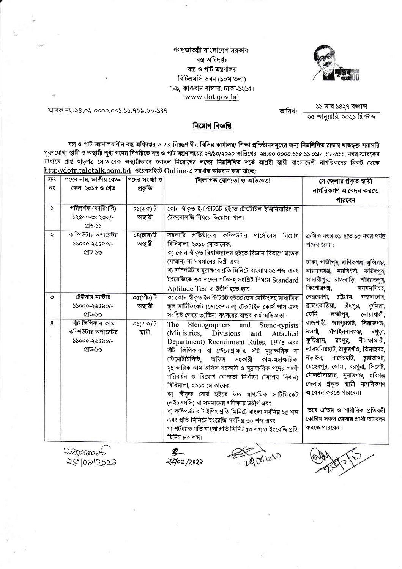গণপ্রজাতন্ত্রী বাংলাদেশ সরকার বস্ত্র অধিদপ্তর বস্ত্র ও পাট মন্ত্রণালয় বিটিএমসি ভবন (১০ম তলা) ৭-৯, কাওরান বাজার, ঢাকা-১২১৫। www.dot.gov.bd



স্মারক নং-২৪.০২.০০০০.০০১.১১.৭২৯.২০-১৪৭

তারিখ:

১১ মাঘ ১৪২৭ বঙ্গাব্দ ্ব জানুয়ারি, ২০২১ খ্রিস্টাব্দ

নিয়োগ বিজ্ঞপ্তি

বস্ত্র ও পাট মন্ত্রণালয়াধীন বস্ত্র অধিদপ্তর ও এর নিয়ন্ত্রণাধীন বিভিন্ন কার্যালয়/ শিক্ষা প্রতিষ্ঠানসমূহের জন্য নিয়লিখিত রাজস্ব খাতভূক্ত সরাসরি পূরণযোগ্য স্থায়ী ও অস্থায়ী শূণ্য পদের বিপরীতে বস্ত্র ও পাট মন্ত্রণালয়ের ২৭/১০/২০২০ তারিখের ২৪.০০.০০০০.১১৫.১১.০১৮..১৮-৩১১, নম্বর স্মারকের মাধ্যমে প্রাপ্ত ছাড়পত্র মোতাবেক অস্থায়ীভাবে জনবল নিয়োগের লক্ষ্যে নিম্নলিখিত শর্তে আগ্রহী স্থায়ী বাংলাদেশী নাগরিকদের নিকট থেকে http://dotr.teletalk.com.bd ওয়েবসাইটে Online-এ দরখান্ত আহবান করা যাছে:

| $\overline{\mathfrak{P}}$ 8 | পদের নাম, জাতীয় বেতন | পদের সংখ্যা ও | শিক্ষাগত যোগ্যতা ও অভিজ্ঞতা                                 | যে জেলার প্রকৃত স্থায়ী                    |
|-----------------------------|-----------------------|---------------|-------------------------------------------------------------|--------------------------------------------|
| নং                          | স্কেল, ২০১৫ ও গ্ৰেড   | প্ৰকৃতি       |                                                             | নাগরিকগণ আবেদন করতে                        |
|                             |                       |               |                                                             | পারবেন                                     |
| $\mathcal{L}$               | পরিদর্শক (কারিগরি)    | ০১(এক)টি      | কোন স্বীকৃত ইনস্টিটিউট হইতে টেক্সটাইল ইঞ্জিনিয়ারিং বা      |                                            |
|                             | ১২৫০০-৩০২৩০/-         | অস্থায়ী      | টেকনোলজি বিষয়ে ডিপ্লোমা পাশ।                               |                                            |
|                             | গ্ৰেড-১১              |               |                                                             |                                            |
| $\ddot{\mathcal{L}}$        | কম্পিউটার অপারেটর     | ০৪(চার)টি     | সরকারি প্রতিষ্ঠানের কম্পিউটার পার্সোনেল নিয়োগ              | ক্ৰমিক নম্বর ০১ হতে ১৫ নম্বর পর্যন্ত       |
|                             | ১১০০০-২৬৫৯০/-         | অস্থায়ী      | বিধিমালা, ২০১৯ মোতাবেক:                                     | পদের জন্য:                                 |
|                             | গ্ৰেড-১৩              |               | ক) কোন স্বীকৃত বিশ্ববিদ্যালয় হইতে বিজ্ঞান বিভাগে স্নাতক    |                                            |
|                             |                       |               | (সম্মান) বা সমমানের ডিগ্রী এবং                              | ঢাকা, গাজীপুর, মাণিকগঞ্জ, মুন্সিগঞ্জ,      |
|                             |                       |               | খ) কম্পিউটার মুদ্রাক্ষরে প্রতি মিনিটে বাংলায় ২৫ শব্দ  এবং  | নারায়ণগঞ্জ, নরসিংদী, ফরিদপুর,             |
|                             |                       |               | ইংরেজিতে ৩০ শব্দের গতিসহ সংশ্লিষ্ট বিষয়ে Standard          | মাদারীপুর, রাজবাড়ি, শরিয়তপুর,            |
|                             |                       |               | Aptitude Test এ উত্তীর্ণ হতে হবে।                           | কিশোরগঞ্জ,<br>ময়মনসিংহ,                   |
| ৩                           | টেইলার মাস্টার        | ০৫(পাঁচ)টি    | ক) কোন স্বীকৃত ইনস্টিটিউট হইতে ড্ৰেস মেকিংসহ মাধ্যমিক       | নেত্রকোণা, চট্টগ্রাম, কক্সবাজার,           |
|                             | ১১০০০-২৬৫৯০/-         | অস্থায়ী      | স্কুল সার্টিফিকেট (ভোকেশনাল) টেক্সটাইল কোর্স পাস এবং        | ব্রাহ্মণবাড়িয়া,<br>চাঁদপুর,<br>কুমিল্লা, |
|                             | গ্ৰেড-১৩              |               | সংশ্লিষ্ট ক্ষেত্রে ৩(তিন) বৎসরের বাস্তব কর্ম অভিজ্ঞতা।      | ফেনি,<br>লক্ষ্মীপুর,<br>নোয়াখালী,         |
| 8                           | সাঁট লিপিকার কাম      | ০১(এক)টি      | The<br>Stenographers and Steno-typists                      | রাজশাহী, জয়পুরহাট, সিরাজগঞ্জ,             |
|                             | কম্পিউটার অপারেটর     | স্থায়ী       | (Ministries, Divisions<br>and<br>Attached                   | নওগা,<br>চীপাইনবাবগঞ্জ, বগুড়া,            |
|                             | ১১০০০-২৬৫৯০/-         |               | Department) Recruitment Rules, 1978 এবং                     | কুড়িগ্রাম,<br>রংপুর,<br>নীলফামারী,        |
|                             | গ্ৰেড-১৩              |               | সাঁট লিপিকার বা স্টেনোগ্রাফার, সাঁট মুদ্রাক্ষরিক বা         | লালমনিরহাট, ঠাকুরগাঁও, ঝিনাইদহ,            |
|                             |                       |               | স্টেনোটাইপিস্ট, অফিস সহকারী কাম-মদ্রাক্ষরিক,                | নড়াইল, বাগেরহাট,<br>চুয়াডাঙ্গা,          |
|                             |                       |               | মুদ্রাক্ষরিক কাম অফিস সহকারী ও মুদ্রাক্ষরিক পদের পদবী       | মেহেরপুর, ভোলা, বরগুনা, সিলেট,             |
|                             |                       |               | পরিবর্তন ও নিয়োগ যোগ্যতা নির্ধারণ (বিশেষ বিধান)            | মৌলভীবাজার, সুনামগঞ্জ, হবিগঞ্জ             |
|                             |                       |               | বিধিমালা, ২০১০ মোতাবেক                                      | জেলার প্রকৃত স্থায়ী নাগরিকগণ              |
|                             |                       |               | ক) স্বীকৃত বোৰ্ড হইতে উচ্চ মাধ্যমিক সাৰ্টিফিকেট             | আবেদন করতে পারবেন।                         |
|                             |                       |               | (এইচএসসি) বা সমমানের পরীক্ষায় উত্তীর্ণ এবং                 |                                            |
|                             |                       |               | খ) কম্পিউটার টাইপিং প্রতি মিনিটে বাংলা সর্বনিয় ২৫ শব্দ     | তবে এতিম ও শারীরিক প্রতিবন্ধী              |
|                             |                       |               | এবং প্রতি মিনিটে ইংরেজি সর্বনিয় ৩০ শব্দ এবং                | কোটায় সকল জেলার প্রার্থী আবেদন            |
|                             |                       |               | গ) শৰ্টহ্যান্ড গতি বাংলা প্ৰতি মিনিট ৫০ শব্দ ও ইংরেজি প্ৰতি | করতে পারবেন।                               |
|                             |                       |               | মিনিট ৮০ শব্দ।                                              |                                            |
|                             |                       |               |                                                             |                                            |

20,20006

20102/2022

290010V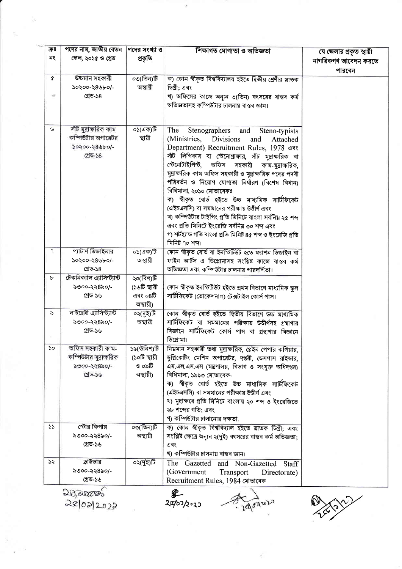| $\overline{\mathfrak{P}}$ 8 | পদের নাম, জাতীয় বেতন      | পদের সংখ্যা ও | শিক্ষাগত যোগ্যতা ও অভিজ্ঞতা                                   | যে জেলার প্রকৃত স্থায়ী |  |  |
|-----------------------------|----------------------------|---------------|---------------------------------------------------------------|-------------------------|--|--|
| নং                          | স্কেল, ২০১৫ ও গ্ৰেড        | প্ৰকৃতি       |                                                               | নাগরিকগণ আবেদন করতে     |  |  |
|                             |                            |               |                                                               |                         |  |  |
|                             |                            |               |                                                               | পারবেন                  |  |  |
| ¢                           | উচ্চমান সহকারী             | ০৩(তিন)টি     | ক) কোন স্বীকৃত বিশ্ববিদ্যালয় হইতে দ্বিতীয় শ্ৰেণীর স্নাতক    |                         |  |  |
|                             | ১০২০০-২৪৬৮০/-              | অস্থায়ী      | ডিগ্ৰী: এবং                                                   |                         |  |  |
| $\sigma$                    | গ্ৰেড-১৪                   |               | খ) অফিসের কাজে অন্যূন ৩(তিন) বৎসরের বাস্তব কর্ম               |                         |  |  |
|                             |                            |               | অভিজ্ঞতাসহ কম্পিউটার চালনায় বাস্তব জ্ঞান।                    |                         |  |  |
|                             |                            |               |                                                               |                         |  |  |
|                             |                            |               |                                                               |                         |  |  |
| $\mathcal{G}$               | সাঁট মুদ্ৰাক্ষরিক কাম      | ০১(এক)টি      | The<br>Stenographers<br>and<br>Steno-typists                  |                         |  |  |
|                             | কম্পিউটার অপারেটর          | স্থায়ী       | (Ministries, Divisions<br>and<br>Attached                     |                         |  |  |
|                             | ১০২০০-২৪৬৮০/-              |               | Department) Recruitment Rules, 1978 এবং                       |                         |  |  |
|                             | গ্ৰেড-১৪                   |               | সাঁট লিপিকার বা স্টেনোগ্রাফার, সাঁট মুদ্রাক্ষরিক বা           |                         |  |  |
|                             |                            |               | স্টেনোটাইপিন্ট, অফিস সহকারী কাম-মুদ্রাক্ষরিক,                 |                         |  |  |
|                             |                            |               | মুদ্রাক্ষরিক কাম অফিস সহকারী ও মুদ্রাক্ষরিক পদের পদবী         |                         |  |  |
|                             |                            |               | পরিবর্তন ও নিয়োগ যোগ্যতা নির্ধারণ (বিশেষ বিধান)              |                         |  |  |
|                             |                            |               | বিধিমালা, ২০১০ মোতাবেকঃ                                       |                         |  |  |
|                             |                            |               | ক) স্বীকৃত বোৰ্ড হইতে উচ্চ মাধ্যমিক সাৰ্টিফিকেট               |                         |  |  |
|                             |                            |               | (এইচএসসি) বা সমমানের পরীক্ষায় উত্তীর্ণ এবং                   |                         |  |  |
|                             |                            |               | খ) কম্পিউটার টাইপিং প্রতি মিনিটে বাংলা সর্বনিয় ২৫ শব্দ       |                         |  |  |
|                             |                            |               | এবং প্রতি মিনিটে ইংরেজি সর্বনিয় ৩০ শব্দ এবং                  |                         |  |  |
|                             |                            |               | গ) শৰ্টহ্যান্ড গতি বাংলা প্ৰতি মিনিট ৪৫ শব্দ ও ইংরেজি প্ৰতি   |                         |  |  |
|                             |                            |               | মিনিট ৭০ শব্দ।                                                |                         |  |  |
| ٩                           | প্যাটার্ণ ডিজাইনার         |               |                                                               |                         |  |  |
|                             |                            | ০১(এক)টি      | কোন স্বীকৃত বোর্ড বা ইনস্টিটিউট হতে ফ্যাশন ডিজাইন বা          |                         |  |  |
|                             | ১০২০০-২৪৬৮০/-              | অস্থায়ী      | ফাইন আর্টস এ ডিপ্লোমাসহ সংশ্লিষ্ট কাজে বাস্তব কর্ম            |                         |  |  |
|                             | গ্ৰেড-১৪                   |               | অভিজ্ঞতা এবং কম্পিউটার চালনায় পারদর্শিতা।                    |                         |  |  |
| Ъ                           | টেকনিক্যাল এ্যাসিস্ট্যান্ট | ২০(বিশ)টি     |                                                               |                         |  |  |
|                             | ৯৩০০-২২৪৯০/-               | (১৬টি স্থায়ী | কোন স্বীকৃত ইনস্টিটিউট হইতে প্ৰথম বিভাগে মাধ্যমিক স্কুল       |                         |  |  |
|                             | গ্ৰেড-১৬                   | এবং ০৪টি      | সার্টিফিকেট (ভোকেশনাল) টেক্সটাইল কোর্স পাস।                   |                         |  |  |
|                             |                            | অস্থায়ী)     |                                                               |                         |  |  |
| $\delta$                    | লাইব্রেরী এ্যাসিস্ট্যান্ট  | ০২(দুই)টি     | কোন স্বীকৃত বোৰ্ড হইতে দ্বিতীয় বিভাগে উচ্চ মাধ্যমিক          |                         |  |  |
|                             | ৯৩০০-২২৪৯০/-               | অস্থায়ী      | সার্টিফিকেট বা সমমানের পরীক্ষায় উত্তীর্ণসহ গ্রন্থাগার        |                         |  |  |
|                             | গ্ৰেড-১৬                   |               | বিজ্ঞানে সার্টিফিকেট কোর্স পাস বা গ্রন্থাগার বিজ্ঞানে         |                         |  |  |
|                             |                            |               | ডিপ্লোমা।                                                     |                         |  |  |
| ১০                          | অফিস সহকারী কাম-           | ১৯(উনিশ)টি    | নিমমান সহকারী তথা মুদ্রাক্ষরিক, প্লেইন পেপার কপিয়ার,         |                         |  |  |
|                             | কম্পিউটার মুদ্রাক্ষরিক     | (১০টি স্থায়ী | ডুপ্লিকেটিং মেশিন অপারেটর, দপ্তরী, ডেসপাস রাইডার,             |                         |  |  |
|                             | ৯৩০০-২২৪৯০/-               | ও ০৯টি        | এম.এল.এস.এস (মন্ত্রণালয়, বিভাগ ও সংযুক্ত অধিদপ্তর)           |                         |  |  |
|                             | গ্ৰেড-১৬                   | অস্থায়ী)     | বিধিমালা, ১৯৯৩ মোতাবেক-                                       |                         |  |  |
|                             |                            |               | ক) স্বীকৃত বোৰ্ড হইতে উচ্চ মাধ্যমিক সাৰ্টিফিকেট               |                         |  |  |
|                             |                            |               | (এইচএসসি) বা সমমানের পরীক্ষায় উত্তীর্ণ এবং                   |                         |  |  |
|                             |                            |               | খ) মুদ্রাক্ষরে প্রতি মিনিটে বাংলায় ২০ শব্দ ও ইংরেজিতে        |                         |  |  |
|                             |                            |               | ২৮ শব্দের গতি; এবং                                            |                         |  |  |
|                             |                            |               | গ) কম্পিউটার চালানোর দক্ষতা।                                  |                         |  |  |
| 55                          | স্টোর কিপার                | ০৩(তিন)টি     |                                                               |                         |  |  |
|                             |                            |               | ক) কোন স্বীকৃত বিশ্ববিদ্যাল হইতে য়াতক ডিগ্ৰী; এবং            |                         |  |  |
|                             | ৯৩০০-২২৪৯০/-               | অস্থায়ী      | সংশ্লিষ্ট ক্ষেত্রে অন্যূন ২(দুই) বৎসরের বাস্তব কর্ম অভিজ্ঞতা; |                         |  |  |
|                             | গ্ৰেড-১৬                   |               | এবং                                                           |                         |  |  |
|                             |                            |               | খ) কম্পিউটার চালনায় বাস্তব জ্ঞান।                            |                         |  |  |
| ১২                          | ড়াইভার                    | ০২(দুই)টি     | The<br>Gazetted<br>and Non-Gazetted Staff                     |                         |  |  |
|                             | ৯৩০০-২২৪৯০/-               |               | (Government)<br>Transport<br>Directorate)                     |                         |  |  |
|                             | গ্ৰেড-১৬                   |               | Recruitment Rules, 1984 মোতাবেক                               |                         |  |  |
|                             | Dozamos<br>œ.              |               |                                                               |                         |  |  |

20/02/2022

 $2002/2.20$ 

C. 290Au2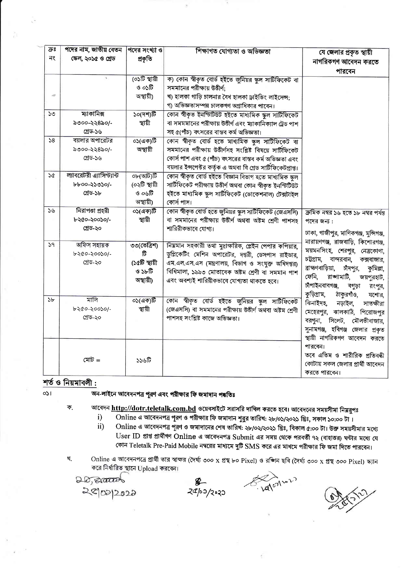| ক্রঃ   | পদের নাম, জাতীয় বেতন                                  | পদের সংখ্যা ও                                             | শিক্ষাগত যোগ্যতা ও অভিজ্ঞতা                                                                                                                                                                                                                                        | যে জেলার প্রকৃত স্থায়ী                                                                                                                                                                                                                                                                                                                                                                                                                                                                                                                               |
|--------|--------------------------------------------------------|-----------------------------------------------------------|--------------------------------------------------------------------------------------------------------------------------------------------------------------------------------------------------------------------------------------------------------------------|-------------------------------------------------------------------------------------------------------------------------------------------------------------------------------------------------------------------------------------------------------------------------------------------------------------------------------------------------------------------------------------------------------------------------------------------------------------------------------------------------------------------------------------------------------|
| নং     | ক্ষেল, ২০১৫ ও গ্ৰেড                                    | প্ৰকৃতি                                                   |                                                                                                                                                                                                                                                                    | নাগরিকগণ আবেদন করতে                                                                                                                                                                                                                                                                                                                                                                                                                                                                                                                                   |
|        |                                                        |                                                           |                                                                                                                                                                                                                                                                    | পারবেন                                                                                                                                                                                                                                                                                                                                                                                                                                                                                                                                                |
| $\sim$ |                                                        | (০১টি স্থায়ী<br>ও ০১টি<br>অস্থায়ী)                      | ক) কোন স্বীকৃত বোর্ড হইতে জুনিয়র স্কুল সাটিফিকেট বা<br>সমমানের পরীক্ষায় উত্তীর্ণ;<br>খ) হালকা গাড়ি চালনার বৈধ হালকা ড্রাইভিং লাইসেন্স;<br>গ) অভিজ্ঞতাসম্পন্ন চালকগণ অগ্রাধিকার পাবেন।                                                                           |                                                                                                                                                                                                                                                                                                                                                                                                                                                                                                                                                       |
| ১৩     | ম্যাকানিক্স<br>৯৩০০-২২৪৯০/-<br>গ্ৰেড-১৬                | ১০(দশ)টি<br>স্থায়ী                                       | কোন স্বীকৃত ইনস্টিটিউট হইতে মাধ্যমিক স্কুল সাটিফিকেট<br>বা সমমমানের পরীক্ষায় উত্তীর্ণ এবং ম্যাকানিক্যাল ট্রেড পাশ<br>সহ ৫(পাঁচ) বৎসরের বাস্তব কর্ম অভিজ্ঞতা।                                                                                                      |                                                                                                                                                                                                                                                                                                                                                                                                                                                                                                                                                       |
| 58     | বয়লার অপারেটর<br>৯৩০০-২২৪৯০/-<br>গ্ৰেড-১৬             | ০১(এক)টি<br>অস্থায়ী                                      | কোন স্বীকৃত বোৰ্ড হতে মাধ্যমিক স্কুল সাটিফিকেট বা<br>সমমানের পরীক্ষায় উত্তীর্ণসহ সংশ্লিষ্ট বিষয়ে সার্টিফিকেট<br>কোর্স পাশ এবং ৫ (পীচ) বৎসরের বান্তব কর্ম অভিজ্ঞতা এবং<br>বয়লার ইন্সপেক্টর কর্তৃক এ অথবা বি গ্রেড সার্টিফিকেটপ্রাপ্ত।                            |                                                                                                                                                                                                                                                                                                                                                                                                                                                                                                                                                       |
| 5¢     | ল্যাবরেটরী এ্যাসিস্ট্যান্ট<br>৮৮০০-২১৩১০/-<br>গ্ৰেড-১৮ | ০৮(আট)টি<br>(০২টি স্থায়ী<br>ও ০৬টি<br>অস্থায়ী)          | কোন স্বীকৃত বোৰ্ড হইতে বিজ্ঞান বিভাগ হতে মাধ্যমিক স্কুল<br>সার্টিফিকেট পরীক্ষায় উত্তীর্ণ অথবা কোন স্বীকৃত ইনস্টিটিউট<br>হইতে মাধ্যমিক স্কুল সাৰ্টিফিকেট (ভোকেশনাল) টেক্সটাইল<br>কোৰ্স পাস।                                                                        |                                                                                                                                                                                                                                                                                                                                                                                                                                                                                                                                                       |
| 56     | নিরাপতা প্রহরী<br>৮২৫০-২০০১০/-<br>গ্ৰেড-২০             | ০১(এক)টি<br>স্থায়ী                                       | কোন স্বীকৃত বোর্ড হতে জুনিয়র স্কুল সাটিফিকেট (জেএসসি)<br>বা সমমানের পরীক্ষায় উত্তীর্ণ অথবা অষ্টম শ্রেণী পাশসহ<br>শারিরীকভাবে যোগ্য।                                                                                                                              | ক্রমিক নম্বর ১৬ হতে ১৮ নম্বর পর্যন্ত<br>পদের জন্য:<br>ঢাকা, গাজীপুর, মাণিকগঞ্জ, মুন্সিগঞ্জ,<br>নারায়ণগঞ্জ, রাজবাড়ি, কিশোরগঞ্জ,<br>ময়মনসিংহ, শেরপুর, নেত্রকোণা,<br>চটগ্ৰাম,<br>বান্দরবান,<br>কক্সবাজার,<br>ব্রাহ্মণবাড়িয়া,<br>চীদপুর,<br>কুমিল্লা,<br>ফেনি,<br>রাঙ্গামাটি,<br>জয়পুরহাট,<br>চাঁপাইনবাবগঞ্জ,<br>বগুড়া<br>রংপুর,<br>কুড়িগ্রাম,<br>ঠাকুরগাঁও,<br>যশোর,<br>ঝিনাইদহ,<br>নড়াইল,<br>সাতক্ষীরা<br>ঝালকাঠি, পিরোজপুর<br>মেহেরপুর,<br>সিলেট,<br>বরপুনা,<br>মৌলভীবাজার,<br>সুনামগঞ্জ, হবিগঞ্জ জেলার প্রকৃত<br>স্থায়ী নাগরিকগণ আবেদন করতে |
| 59     | অফিস সহায়ক<br>৮২৫০-২০০১০/-<br>গ্ৰেড-২০                | ৩৩(তেত্রিশ)<br>টি<br>(১৫টি স্থায়ী<br>ও ১৮টি<br>অস্থায়ী) | নিমমান সহকারী তথা মুদ্রাক্ষরিক, প্লেইন পেপার কপিয়ার,<br>ডুপ্লিকেটিং মেশিন অপারেটর, দপ্তরী, ডেসপাস রাইডার,<br>এম.এল.এস.এস (মন্ত্রণালয়, বিভাগ ও সংযুক্ত অধিদপ্তর)<br>বিধিমালা, ১৯৯৩ মোতাবেক অষ্টম শ্ৰেণী বা সমমান পাশ<br>এবং অবশ্যই শারিরীকভাবে যোগ্যতা থাকতে হবে। |                                                                                                                                                                                                                                                                                                                                                                                                                                                                                                                                                       |
| ১৮     | মালি<br>৮২৫০-২০০১০/-<br>গ্ৰেড-২০                       | ০১(এক)টি<br>স্থায়ী                                       | কোন স্বীকৃত বোৰ্ড হইতে জুনিয়র স্কুল সাটিফিকেট<br>(জেএসসি) বা সমমানের পরীক্ষায় উত্তীর্ণ অথবা অষ্টম শ্রেণী<br>পাশসহ সংশ্লিষ্ট কাজে অভিজ্ঞতা।                                                                                                                       |                                                                                                                                                                                                                                                                                                                                                                                                                                                                                                                                                       |
|        | মোট =                                                  | ১১৬টি                                                     |                                                                                                                                                                                                                                                                    | পারবেন।<br>তবে এতিম ও শারীরিক প্রতিবন্ধী<br>কোটায় সকল জেলার প্রার্থী আবেদন<br>করতে পারবেন।                                                                                                                                                                                                                                                                                                                                                                                                                                                           |

## শর্ত ও নিয়মাবলী:

 $051$ 

অন-লাইনে আবেদনপত্র পুরণ এবং পরীক্ষার ফি জমাদান পদ্ধতিঃ

- আবেদন http://dotr.teletalk.com.bd ওয়েবসাইটে সরাসরি দাখিল করতে হবে। আবেদনের সময়সীমা নিম্নরুপঃ ক.
	- Online এ আবেদনপত্র পূরণ ও পরীক্ষার ফি জমাদান শুরুর তারিখ: ২৮/০১/২০২১ খ্রিঃ, সকাল ১০:০০ টা। i)
	- $\overrightarrow{ii}$ Online এ আবেদনপত্র পূরণ ও জমাদানের শেষ তারিখ: ২৮/০২/২০২১ খ্রিঃ, বিকাল ৫:০০ টা। উক্ত সময়সীমার মধ্যে User ID প্রাপ্ত প্রার্থীগণ Online এ আবেদনপত্র Submit এর সময় থেকে পরবর্তী ৭২ (বাহাত্তর) ঘন্টার মধ্যে যে কোন Teletalk Pre-Paid Mobile নম্বরের মাধ্যমে দুটি SMS করে এর মাধমে পরীক্ষার ফি জমা দিতে পারবেন।
- Online এ আবেদনপত্রে প্রার্থী তার স্বাক্ষর (দৈর্ঘ্য ৩০০ x প্রস্থ ৮০ Pixel) ও রশ্জিন ছবি (দৈর্ঘ্য ৩০০ x প্রস্থ ৩০০ Pixel) স্ক্যান খ. করে নির্ধারিত স্থানে Upload করবেন।

20,200000<br>2010212022

 $24/00/2020$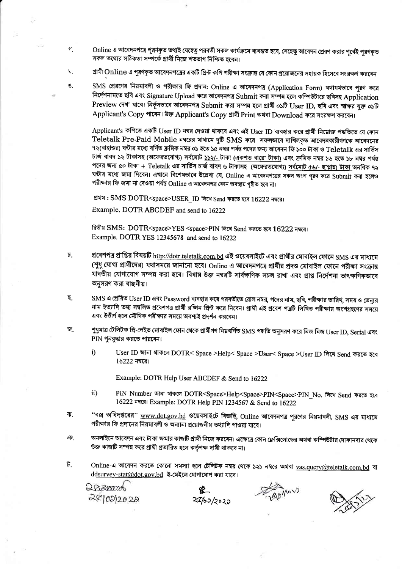- Online এ আবেদনপত্রে পরণকৃত তথ্যই যেহেতু পরবর্তী সকল কার্যক্রমে ব্যবহৃত হবে, সেহেতু আবেদন প্রেরণ করার পর্বেই পরণকৃত গ সকল তথ্যের সঠিকতা সম্পর্কে প্রার্থী নিজে শতভাগ নিশ্চিত হবেন।
- ঘ প্রার্থী Online এ পরণকৃত আবেদনপত্রের একটি প্রিন্ট কপি পরীক্ষা সংক্রান্ত যে কোন প্রয়োজনের সহায়ক হিসেবে সংরক্ষণ করবেন।
- ঙ

SMS প্রেরণের নিয়মাবলী ও পরীক্ষার ফি প্রদান: Online এ আবেদনপত্র (Application Form) যথাযথভাবে পূরণ করে নির্দেশনামতে ছবি এবং Signature Upload করে আবেদনপত্র Submit করা সম্পন্ন হলে কম্পিউটারে ছবিসহ Application Preview দেখা যাবে। নিৰ্ভূলভাবে আবেদনপত্ৰ Submit করা সম্পন্ন হলে প্রার্থী ০১টি User ID, ছবি এবং স্বাক্ষর যুক্ত ০১টি Applicant's Copy পাবেন। উক্ত Applicant's Copy প্রার্থী Print অথবা Download করে সংরক্ষণ করবেন।

Applicant's কপিতে একটি User ID নম্বর দেওয়া থাকবে এবং এই User ID ব্যবহার করে প্রার্থী নিম্নোক্ত পদ্ধতিতে যে কোন Teletalk Pre-Paid Mobile নম্বরের মাধ্যমে দুটি SMS করে সফলভাবে দাখিলকৃত আবেদনকারীগণকে আবেদনের ৭২(বাহাত্তর) ঘন্টার মধ্যে বর্ণিত ক্রমিক নম্বর ০১ হতে ১৫ নম্বর পর্যন্ত পদের জন্য আবেদন ফি ১০০ টাকা ও  ${\rm Teletalk}$  এর সার্ভিস চার্জ বাবদ ১২ টাকাসহ (অফেরতযোগ্য) সর্বমোট ১১২/- টাকা (একশত বারো টাকা) এবং ক্রমিক নম্বর ১৬ হতে ১৮ নম্বর পর্যন্ত পদের জন্য ৫০ টাকা + Teletalk এর সার্ভিস চার্জ বাবদ ৬ টাকাসহ (অফেরতযোগ্য) <u>সর্বমোট ৫৬/- ছাপ্পান্ন) টাকা</u> অনধিক ৭২ ঘন্টার মধ্যে জমা দিবেন। এখানে বিশেষভাবে উল্লেখ্য যে, Online এ আবেদনপত্রের সকল অংশ পরণ করে Submit করা হলেও পরীক্ষার ফি জমা না দেওয়া পর্যন্ত Online এ আবেদনপত্র কোন অবস্থায় গৃহীত হবে না।

প্রথম: SMS DOTR<space>USER ID লিখে Send করতে হবে 16222 নম্বরে।

Example. DOTR ABCDEF and send to 16222

দ্বিতীয় SMS: DOTR<space>YES <space>PIN লিখে Send করতে হবে 16222 নম্বরে। Example. DOTR YES 12345678 and send to 16222

- $\overline{b}$ . প্রবেশপত্র প্রাপ্তির বিষয়টি <u>http://dotr.teletalk.com.bd</u> এই ওয়েবসাইটে এবং প্রার্থীর মোবাইল ফোনে SMS এর মাধ্যমে (শুধু যোগ্য প্রার্থীদের) যথাসময়ে জানানো হবে। Online এ আবেদনপত্রে প্রার্থীর প্রদত্ত মোবাইল ফোনে পরীক্ষা সংক্রান্ত যাবতীয় যোগাযোগ সম্পন্ন করা হবে। বিধায় উক্ত নম্বরটি সার্বক্ষণিক সচল রাখা এবং প্রাপ্ত নির্দেশনা তাৎক্ষণিকভাবে অনসরণ করা বাঞ্জনীয়।
- SMS এ প্রেরিত User ID এবং Password ব্যবহার করে পরবর্তীতে রোল নম্বর, পদের নাম, ছবি, পরীক্ষার তারিখ, সময় ও ভেন্যর ছ. নাম ইত্যাদি তথ্য সম্বলিত প্রবেশপত্র প্রার্থী রঙ্গিন প্রিন্ট করে নিবেন। প্রার্থী এই প্রবেশ পত্রটি লিখিত পরীক্ষায় অংশগ্রহণের সময়ে এবং উত্তীর্ণ হলে মৌখিক পরীক্ষার সময়ে অবশ্যই প্রদর্শন করবেন।
- জ শুধুমাত্ৰ টেলিটক প্ৰি-পেইড মোবাইল ফোন থেকে প্ৰাৰ্থীগণ নিম্নবৰ্ণিত SMS পদ্ধতি অনুসরণ করে নিজ নিজ User ID, Serial এবং PIN পুনরুদ্ধার করতে পারবেন।
	- $i)$ User ID জানা থাকলে DOTR< Space >Help< Space >User< Space >User ID লিখে Send করতে হবে  $16222$  নম্বরে।

Example: DOTR Help User ABCDEF & Send to 16222

- ii) PIN Number জানা থাকলে DOTR<Space>Help<Space>PIN<Space>PIN\_No. लित्थ Send कन्नार रात 16222 नषदा। Example: DOTR Help PIN 1234567 & Send to 16222
- ''বস্ত্র অধিদপ্তরের'' <u>www.dot.gov.bd</u> ওয়েবসাইটে বিজ্ঞপ্তি, Online আবেদনপত্র পূরণের নিয়মাবলী, SMS এর মাধ্যমে ৰা. পরীক্ষার ফি প্রদানের নিয়মাবলী ও অন্যান্য প্রয়োজনীয় তথ্যাদি পাওয়া যাবে।
- অনলাইনে আবেদন এবং টাকা জমার কাজটি প্রার্থী নিজে করবেন। এক্ষেত্রে কোন ফ্লেক্সিলোডের অথবা কম্পিউটার দোকানদার থেকে ঞ. উক্ত কাজটি সম্পন্ন করে প্রার্থী প্রতারিত হলে কর্তৃপক্ষ দায়ী থাকবে না।
- ট. Online-এ আবেদন করতে কোনো সমস্যা হলে টেলিটক নম্বর থেকে ১২১ নম্বরে অথবা vas.query@teletalk.com.bd বা ddsurvey-stat@dot.gov.bd ই-মেইলে যোগাযোগ করা যাবে।

Dagramad 2010212022

 $24/60/2020$